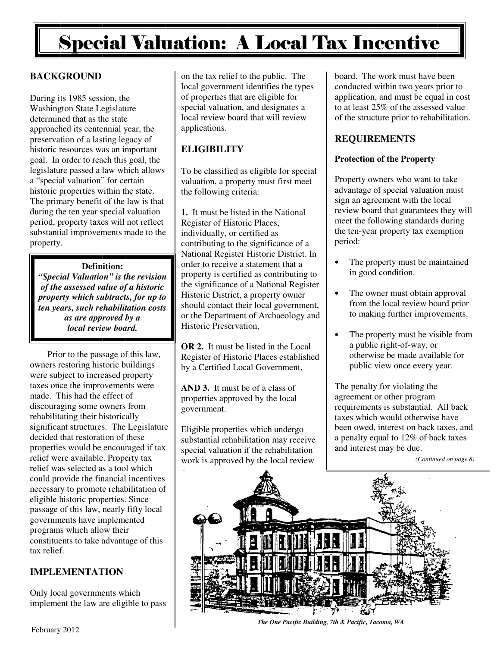## Special Valuation: A Local Tax Incentive

#### **BACKGROUND**

During its 1985 session, the Washington State Legislature determined that as the state approached its centennial year, the preservation of a lasting legacy of historic resources was an important goal. In order to reach this goal, the legislature passed a law which allows a "special valuation" for certain historic properties within the state. The primary benefit of the law is that during the ten year special valuation period, property taxes will not reflect substantial improvements made to the property.

**Definition:**  *"Special Valuation" is the revision of the assessed value of a historic property which subtracts, for up to ten years, such rehabilitation costs as are approved by a local review board.* 

Prior to the passage of this law, owners restoring historic buildings were subject to increased property taxes once the improvements were made. This had the effect of discouraging some owners from rehabilitating their historically significant structures. The Legislature decided that restoration of these properties would be encouraged if tax relief were available. Property tax relief was selected as a tool which could provide the financial incentives necessary to promote rehabilitation of eligible historic properties. Since passage of this law, nearly fifty local governments have implemented programs which allow their constituents to take advantage of this tax relief.

#### **IMPLEMENTATION**

Only local governments which implement the law are eligible to pass

on the tax relief to the public. The local government identifies the types of properties that are eligible for special valuation, and designates a local review board that will review applications.

### **ELIGIBILITY**

To be classified as eligible for special valuation, a property must first meet the following criteria:

**1.** It must be listed in the National Register of Historic Places, individually, or certified as contributing to the significance of a National Register Historic District. In order to receive a statement that a property is certified as contributing to the significance of a National Register Historic District, a property owner should contact their local government, or the Department of Archaeology and Historic Preservation,

**OR 2.** It must be listed in the Local Register of Historic Places established by a Certified Local Government,

**AND 3.** It must be of a class of properties approved by the local government.

Eligible properties which undergo substantial rehabilitation may receive special valuation if the rehabilitation work is approved by the local review

board. The work must have been conducted within two years prior to application, and must be equal in cost to at least 25% of the assessed value of the structure prior to rehabilitation.

#### **REQUIREMENTS**

#### **Protection of the Property**

Property owners who want to take advantage of special valuation must sign an agreement with the local review board that guarantees they will meet the following standards during the ten-year property tax exemption period:

- The property must be maintained in good condition.
- The owner must obtain approval from the local review board prior to making further improvements.
- The property must be visible from a public right-of-way, or otherwise be made available for public view once every year.

The penalty for violating the agreement or other program requirements is substantial. All back taxes which would otherwise have been owed, interest on back taxes, and a penalty equal to 12% of back taxes and interest may be due.

*(Continued on page 8)* 



*The One Pacific Building, 7th & Pacific, Tacoma, WA*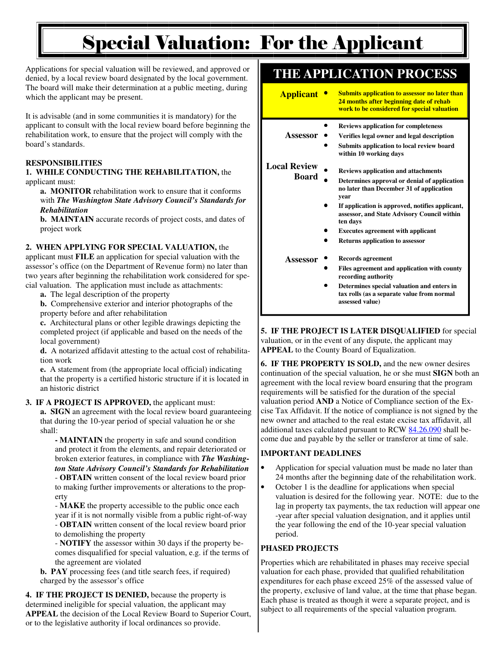# Special Valuation: For the Applicant

Applications for special valuation will be reviewed, and approved or denied, by a local review board designated by the local government. The board will make their determination at a public meeting, during which the applicant may be present.

It is advisable (and in some communities it is mandatory) for the applicant to consult with the local review board before beginning the rehabilitation work, to ensure that the project will comply with the board's standards.

#### **RESPONSIBILITIES**

#### **1. WHILE CONDUCTING THE REHABILITATION,** the applicant must:

**a. MONITOR** rehabilitation work to ensure that it conforms with *The Washington State Advisory Council's Standards for Rehabilitation* 

**b. MAINTAIN** accurate records of project costs, and dates of project work

#### **2. WHEN APPLYING FOR SPECIAL VALUATION,** the

applicant must **FILE** an application for special valuation with the assessor's office (on the Department of Revenue form) no later than two years after beginning the rehabilitation work considered for special valuation. The application must include as attachments:

**a.** The legal description of the property

**b.** Comprehensive exterior and interior photographs of the property before and after rehabilitation

**c.** Architectural plans or other legible drawings depicting the completed project (if applicable and based on the needs of the local government)

**d.** A notarized affidavit attesting to the actual cost of rehabilita tion work

**e.** A statement from (the appropriate local official) indicating that the property is a certified historic structure if it is located in an historic district

#### **3. IF A PROJECT IS APPROVED,** the applicant must:

**a. SIGN** an agreement with the local review board guaranteeing that during the 10-year period of special valuation he or she shall:

 **- MAINTAIN** the property in safe and sound condition and protect it from the elements, and repair deteriorated or broken exterior features, in compliance with *The Washing ton State Advisory Council's Standards for Rehabilitation* - **OBTAIN** written consent of the local review board prior to making further improvements or alterations to the prop erty

 - **MAKE** the property accessible to the public once each year if it is not normally visible from a public right-of-way - **OBTAIN** written consent of the local review board prior to demolishing the property

 - **NOTIFY** the assessor within 30 days if the property be comes disqualified for special valuation, e.g. if the terms of the agreement are violated

**b. PAY** processing fees (and title search fees, if required) charged by the assessor's office

**4. IF THE PROJECT IS DENIED,** because the property is determined ineligible for special valuation, the applicant may **APPEAL** the decision of the Local Review Board to Superior Court, or to the legislative authority if local ordinances so provide.

### **THE APPLICATION PROCESS**

| <b>Applicant</b>    | <b>Submits application to assessor no later than</b><br>24 months after beginning date of rehab<br>work to be considered for special valuation |
|---------------------|------------------------------------------------------------------------------------------------------------------------------------------------|
|                     | <b>Reviews application for completeness</b>                                                                                                    |
| Assessor            | Verifies legal owner and legal description                                                                                                     |
|                     | Submits application to local review board<br>within 10 working days                                                                            |
| <b>Local Review</b> | <b>Reviews application and attachments</b>                                                                                                     |
| <b>Board</b>        | Determines approval or denial of application<br>no later than December 31 of application<br>year                                               |
|                     | If application is approved, notifies applicant,<br>assessor, and State Advisory Council within<br>ten days                                     |
|                     | <b>Executes agreement with applicant</b>                                                                                                       |
|                     | <b>Returns application to assessor</b>                                                                                                         |
| Assessor            | Records agreement                                                                                                                              |
|                     | Files agreement and application with county<br>recording authority                                                                             |
|                     | Determines special valuation and enters in<br>tax rolls (as a separate value from normal                                                       |

**5. IF THE PROJECT IS LATER DISQUALIFIED** for special valuation, or in the event of any dispute, the applicant may **APPEAL** to the County Board of Equalization.

**assessed value)** 

**6. IF THE PROPERTY IS SOLD,** and the new owner desires continuation of the special valuation, he or she must **SIGN** both an agreement with the local review board ensuring that the program requirements will be satisfied for the duration of the special valuation period **AND** a Notice of Compliance section of the Excise Tax Affidavit. If the notice of compliance is not signed by the new owner and attached to the real estate excise tax affidavit, all additional taxes calculated pursuant to RCW 84.26.090 shall become due and payable by the seller or transferor at time of sale.

#### **IMPORTANT DEADLINES**

- Application for special valuation must be made no later than 24 months after the beginning date of the rehabilitation work.
- October 1 is the deadline for applications when special valuation is desired for the following year. NOTE: due to the lag in property tax payments, the tax reduction will appear one -year after special valuation designation, and it applies until the year following the end of the 10-year special valuation period.

#### **PHASED PROJECTS**

Properties which are rehabilitated in phases may receive special valuation for each phase, provided that qualified rehabilitation expenditures for each phase exceed 25% of the assessed value of the property, exclusive of land value, at the time that phase began. Each phase is treated as though it were a separate project, and is subject to all requirements of the special valuation program.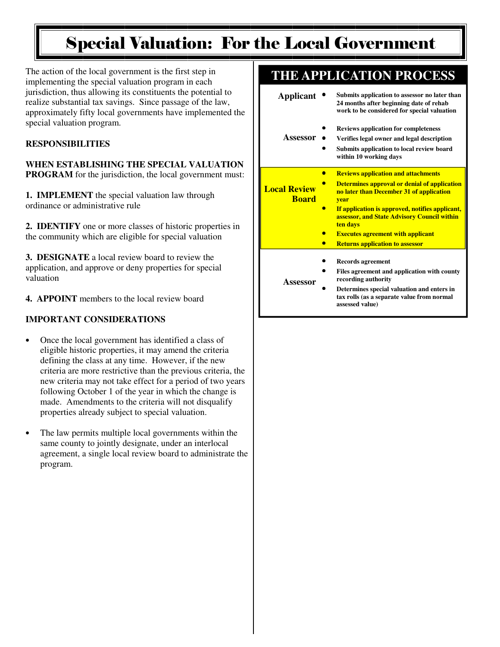### Special Valuation: For the Local Government

The action of the local government is the first step in implementing the special valuation program in each jurisdiction, thus allowing its constituents the potential to realize substantial tax savings. Since passage of the law, approximately fifty local governments have implemented the special valuation program.

#### **RESPONSIBILITIES**

**WHEN ESTABLISHING THE SPECIAL VALUATION PROGRAM** for the jurisdiction, the local government must:

**1. IMPLEMENT** the special valuation law through ordinance or administrative rule

**2. IDENTIFY** one or more classes of historic properties in the community which are eligible for special valuation

**3. DESIGNATE** a local review board to review the application, and approve or deny properties for special valuation

**4. APPOINT** members to the local review board

#### **IMPORTANT CONSIDERATIONS**

- Once the local government has identified a class of eligible historic properties, it may amend the criteria defining the class at any time. However, if the new criteria are more restrictive than the previous criteria, the new criteria may not take effect for a period of two years following October 1 of the year in which the change is made. Amendments to the criteria will not disqualify properties already subject to special valuation.
- The law permits multiple local governments within the same county to jointly designate, under an interlocal agreement, a single local review board to administrate the program.

### **THE APPLICATION PROCESS**

| <b>Applicant</b>                    | Submits application to assessor no later than<br>24 months after beginning date of rehab<br>work to be considered for special valuation |
|-------------------------------------|-----------------------------------------------------------------------------------------------------------------------------------------|
| Assessor                            | <b>Reviews application for completeness</b>                                                                                             |
|                                     | Verifies legal owner and legal description<br>Submits application to local review board<br>within 10 working days                       |
|                                     | <b>Reviews application and attachments</b>                                                                                              |
| <b>Local Review</b><br><b>Board</b> | <b>Determines approval or denial of application</b><br>no later than December 31 of application<br><b>vear</b>                          |
|                                     | If application is approved, notifies applicant,<br>assessor, and State Advisory Council within<br>ten days                              |
|                                     | <b>Executes agreement with applicant</b>                                                                                                |
|                                     | <b>Returns application to assessor</b>                                                                                                  |
|                                     | <b>Records agreement</b>                                                                                                                |
| Assessor                            | Files agreement and application with county<br>recording authority                                                                      |
|                                     | Determines special valuation and enters in<br>tax rolls (as a separate value from normal                                                |

**assessed value)**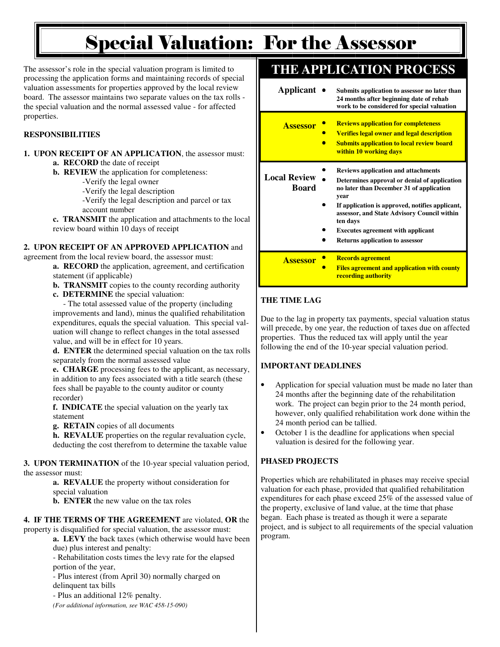## Special Valuation: For the Assessor

The assessor's role in the special valuation program is limited to processing the application forms and maintaining records of special valuation assessments for properties approved by the local review board. The assessor maintains two separate values on the tax rolls the special valuation and the normal assessed value - for affected properties.

#### **RESPONSIBILITIES**

**1. UPON RECEIPT OF AN APPLICATION**, the assessor must: **a. RECORD** the date of receipt

**b. REVIEW** the application for completeness:

-Verify the legal owner

-Verify the legal description

 -Verify the legal description and parcel or tax account number

**c. TRANSMIT** the application and attachments to the local review board within 10 days of receipt

#### **2. UPON RECEIPT OF AN APPROVED APPLICATION** and

agreement from the local review board, the assessor must: **a. RECORD** the application, agreement, and certification

 statement (if applicable) **b. TRANSMIT** copies to the county recording authority

**c. DETERMINE** the special valuation:

 - The total assessed value of the property (including improvements and land), minus the qualified rehabilitation expenditures, equals the special valuation. This special val uation will change to reflect changes in the total assessed value, and will be in effect for 10 years.

**d. ENTER** the determined special valuation on the tax rolls separately from the normal assessed value

**e. CHARGE** processing fees to the applicant, as necessary, in addition to any fees associated with a title search (these fees shall be payable to the county auditor or county recorder)

**f. INDICATE** the special valuation on the yearly tax statement

**g. RETAIN** copies of all documents

**h. REVALUE** properties on the regular revaluation cycle, deducting the cost therefrom to determine the taxable value

**3. UPON TERMINATION** of the 10-year special valuation period, the assessor must:

**a. REVALUE** the property without consideration for special valuation

**b. ENTER** the new value on the tax roles

**4. IF THE TERMS OF THE AGREEMENT** are violated, **OR** the property is disqualified for special valuation, the assessor must:

**a. LEVY** the back taxes (which otherwise would have been due) plus interest and penalty:

 - Rehabilitation costs times the levy rate for the elapsed portion of the year,

 - Plus interest (from April 30) normally charged on delinquent tax bills

- Plus an additional 12% penalty.

 *(For additional information, see WAC 458-15-090)* 

### **THE APPLICATION PROCESS**

| Applicant                           | Submits application to assessor no later than<br>24 months after beginning date of rehab<br>work to be considered for special valuation                                                                                                                                                                  |
|-------------------------------------|----------------------------------------------------------------------------------------------------------------------------------------------------------------------------------------------------------------------------------------------------------------------------------------------------------|
| <b>Assessor</b>                     | <b>Reviews application for completeness</b><br><b>Verifies legal owner and legal description</b><br><b>Submits application to local review board</b><br>within 10 working days                                                                                                                           |
| <b>Local Review</b><br><b>Board</b> | <b>Reviews application and attachments</b><br>Determines approval or denial of application<br>no later than December 31 of application<br>year<br>If application is approved, notifies applicant,<br>assessor, and State Advisory Council within<br>ten days<br><b>Executes agreement with applicant</b> |
|                                     | <b>Returns application to assessor</b>                                                                                                                                                                                                                                                                   |
| <b>Assessor</b>                     | <b>Records agreement</b><br><b>Files agreement and application with county</b><br><u>recording authority</u>                                                                                                                                                                                             |

#### **THE TIME LAG**

Due to the lag in property tax payments, special valuation status will precede, by one year, the reduction of taxes due on affected properties. Thus the reduced tax will apply until the year following the end of the 10-year special valuation period.

#### **IMPORTANT DEADLINES**

- Application for special valuation must be made no later than 24 months after the beginning date of the rehabilitation work. The project can begin prior to the 24 month period, however, only qualified rehabilitation work done within the 24 month period can be tallied.
- October 1 is the deadline for applications when special valuation is desired for the following year.

#### **PHASED PROJECTS**

Properties which are rehabilitated in phases may receive special valuation for each phase, provided that qualified rehabilitation expenditures for each phase exceed 25% of the assessed value of the property, exclusive of land value, at the time that phase began. Each phase is treated as though it were a separate project, and is subject to all requirements of the special valuation program.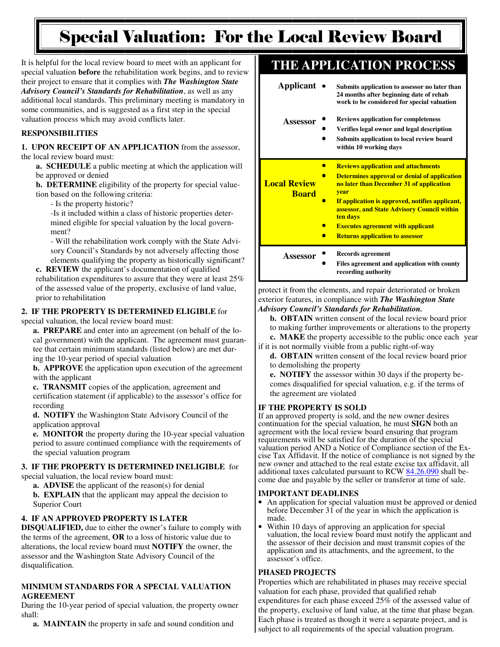## Special Valuation: For the Local Review Board

It is helpful for the local review board to meet with an applicant for special valuation **before** the rehabilitation work begins, and to review their project to ensure that it complies with *The Washington State Advisory Council's Standards for Rehabilitation*, as well as any additional local standards. This preliminary meeting is mandatory in some communities, and is suggested as a first step in the special valuation process which may avoid conflicts later.

#### **RESPONSIBILITIES**

**1. UPON RECEIPT OF AN APPLICATION** from the assessor, the local review board must:

**a. SCHEDULE** a public meeting at which the application will be approved or denied

**b. DETERMINE** eligibility of the property for special value tion based on the following criteria:

- Is the property historic?

 -Is it included within a class of historic properties deter mined eligible for special valuation by the local govern ment?

 - Will the rehabilitation work comply with the State Advi sory Council's Standards by not adversely affecting those elements qualifying the property as historically significant?

**c. REVIEW** the applicant's documentation of qualified rehabilitation expenditures to assure that they were at least 25% of the assessed value of the property, exclusive of land value, prior to rehabilitation

#### **2. IF THE PROPERTY IS DETERMINED ELIGIBLE** for

#### special valuation, the local review board must:

**a. PREPARE** and enter into an agreement (on behalf of the lo cal government) with the applicant. The agreement must guaran tee that certain minimum standards (listed below) are met dur ing the 10-year period of special valuation

**b. APPROVE** the application upon execution of the agreement with the applicant

**c. TRANSMIT** copies of the application, agreement and certification statement (if applicable) to the assessor's office for recording

**d. NOTIFY** the Washington State Advisory Council of the application approval

**e. MONITOR** the property during the 10-year special valuation period to assure continued compliance with the requirements of the special valuation program

### **3. IF THE PROPERTY IS DETERMINED INELIGIBLE** for

special valuation, the local review board must:

**a. ADVISE** the applicant of the reason(s) for denial

**b. EXPLAIN** that the applicant may appeal the decision to Superior Court

#### **4. IF AN APPROVED PROPERTY IS LATER**

**DISQUALIFIED,** due to either the owner's failure to comply with the terms of the agreement, **OR** to a loss of historic value due to alterations, the local review board must **NOTIFY** the owner, the assessor and the Washington State Advisory Council of the disqualification.

#### **MINIMUM STANDARDS FOR A SPECIAL VALUATION AGREEMENT**

During the 10-year period of special valuation, the property owner shall:

#### **a. MAINTAIN** the property in safe and sound condition and

### **THE APPLICATION PROCESS**

| Applicant •                         | Submits application to assessor no later than<br>24 months after beginning date of rehab<br>work to be considered for special valuation                                                                                                                                                                                                                          |
|-------------------------------------|------------------------------------------------------------------------------------------------------------------------------------------------------------------------------------------------------------------------------------------------------------------------------------------------------------------------------------------------------------------|
| Assessor                            | <b>Reviews application for completeness</b><br>Verifies legal owner and legal description<br>Submits application to local review board<br>within 10 working days                                                                                                                                                                                                 |
| <b>Local Review</b><br><b>Board</b> | <b>Reviews application and attachments</b><br><b>Determines approval or denial of application</b><br>no later than December 31 of application<br><b>vear</b><br>If application is approved, notifies applicant,<br>assessor, and State Advisory Council within<br>ten days<br><b>Executes agreement with applicant</b><br><b>Returns application to assessor</b> |
| Assessor                            | <b>Records agreement</b><br>Files agreement and application with county<br>recording authority                                                                                                                                                                                                                                                                   |

protect it from the elements, and repair deteriorated or broken exterior features, in compliance with *The Washington State Advisory Council's Standards for Rehabilitation.* 

**b. OBTAIN** written consent of the local review board prior to making further improvements or alterations to the property

**c. MAKE** the property accessible to the public once each year if it is not normally visible from a public right-of-way

**d. OBTAIN** written consent of the local review board prior to demolishing the property

**e. NOTIFY** the assessor within 30 days if the property be comes disqualified for special valuation, e.g. if the terms of the agreement are violated

#### **IF THE PROPERTY IS SOLD**

If an approved property is sold, and the new owner desires continuation for the special valuation, he must **SIGN** both an agreement with the local review board ensuring that program requirements will be satisfied for the duration of the special valuation period AND a Notice of Compliance section of the Excise Tax Affidavit. If the notice of compliance is not signed by the new owner and attached to the real estate excise tax affidavit, all additional taxes calculated pursuant to RCW 84.26.090 shall become due and payable by the seller or transferor at time of sale.

#### **IMPORTANT DEADLINES**

- An application for special valuation must be approved or denied before December 31 of the year in which the application is made.
- Within 10 days of approving an application for special valuation, the local review board must notify the applicant and the assessor of their decision and must transmit copies of the application and its attachments, and the agreement, to the assessor's office.

#### **PHASED PROJECTS**

Properties which are rehabilitated in phases may receive special valuation for each phase, provided that qualified rehab expenditures for each phase exceed 25% of the assessed value of the property, exclusive of land value, at the time that phase began. Each phase is treated as though it were a separate project, and is subject to all requirements of the special valuation program.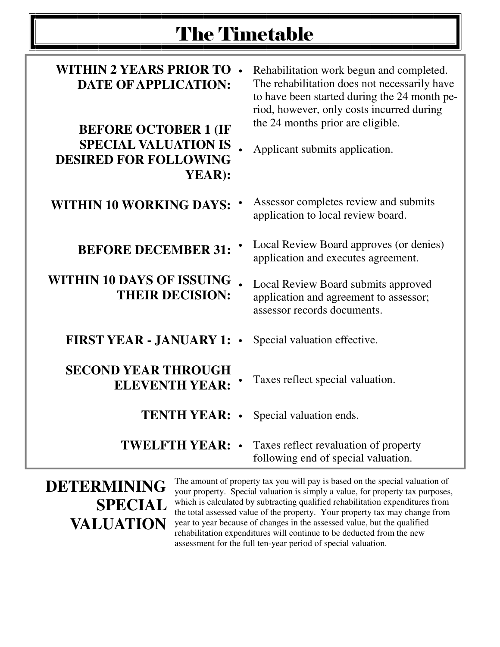## The Timetable

| <b>WITHIN 2 YEARS PRIOR TO</b><br><b>DATE OF APPLICATION:</b><br><b>BEFORE OCTOBER 1 (IF</b><br><b>SPECIAL VALUATION IS</b><br><b>DESIRED FOR FOLLOWING</b><br>YEAR): |           | Rehabilitation work begun and completed.<br>The rehabilitation does not necessarily have<br>to have been started during the 24 month pe-<br>riod, however, only costs incurred during<br>the 24 months prior are eligible.<br>Applicant submits application. |
|-----------------------------------------------------------------------------------------------------------------------------------------------------------------------|-----------|--------------------------------------------------------------------------------------------------------------------------------------------------------------------------------------------------------------------------------------------------------------|
| <b>WITHIN 10 WORKING DAYS:</b>                                                                                                                                        |           | Assessor completes review and submits<br>application to local review board.                                                                                                                                                                                  |
| <b>BEFORE DECEMBER 31:</b>                                                                                                                                            |           | Local Review Board approves (or denies)<br>application and executes agreement.                                                                                                                                                                               |
| <b>WITHIN 10 DAYS OF ISSUING</b><br><b>THEIR DECISION:</b>                                                                                                            |           | Local Review Board submits approved<br>application and agreement to assessor;<br>assessor records documents.                                                                                                                                                 |
| <b>FIRST YEAR - JANUARY 1:</b>                                                                                                                                        |           | Special valuation effective.                                                                                                                                                                                                                                 |
| <b>SECOND YEAR THROUGH</b><br><b>ELEVENTH YEAR:</b>                                                                                                                   |           | Taxes reflect special valuation.                                                                                                                                                                                                                             |
| <b>TENTH YEAR:</b>                                                                                                                                                    | $\bullet$ | Special valuation ends.                                                                                                                                                                                                                                      |
| <b>TWELFTH YEAR:</b>                                                                                                                                                  |           | Taxes reflect revaluation of property<br>following end of special valuation.                                                                                                                                                                                 |

**DETERMINING SPECIAL VALUATION** 

The amount of property tax you will pay is based on the special valuation of your property. Special valuation is simply a value, for property tax purposes, which is calculated by subtracting qualified rehabilitation expenditures from the total assessed value of the property. Your property tax may change from year to year because of changes in the assessed value, but the qualified rehabilitation expenditures will continue to be deducted from the new assessment for the full ten-year period of special valuation.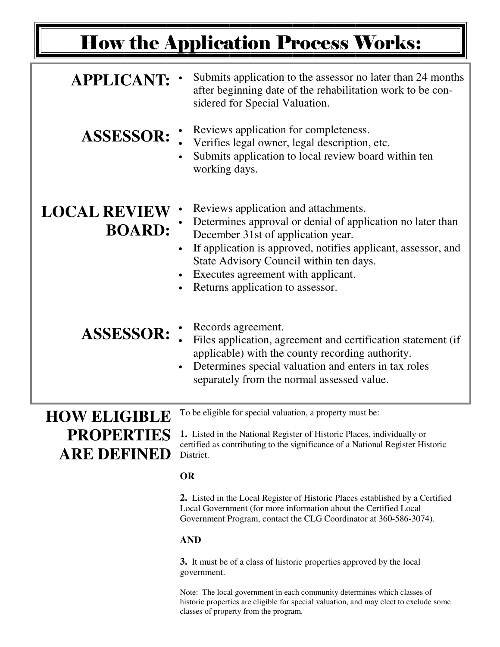# How the Application Process Works:

| <b>APPLICANT:</b>                                              | Submits application to the assessor no later than 24 months<br>after beginning date of the rehabilitation work to be con-<br>sidered for Special Valuation.                                                                                                                                                                    |
|----------------------------------------------------------------|--------------------------------------------------------------------------------------------------------------------------------------------------------------------------------------------------------------------------------------------------------------------------------------------------------------------------------|
| <b>ASSESSOR:</b>                                               | Reviews application for completeness.<br>Verifies legal owner, legal description, etc.<br>Submits application to local review board within ten<br>working days.                                                                                                                                                                |
| <b>LOCAL REVIEW</b><br><b>BOARD:</b>                           | Reviews application and attachments.<br>Determines approval or denial of application no later than<br>December 31st of application year.<br>If application is approved, notifies applicant, assessor, and<br>State Advisory Council within ten days.<br>Executes agreement with applicant.<br>Returns application to assessor. |
| <b>ASSESSOR:</b>                                               | Records agreement.<br>Files application, agreement and certification statement (if<br>applicable) with the county recording authority.<br>Determines special valuation and enters in tax roles<br>separately from the normal assessed value.                                                                                   |
| <b>HOW ELIGIBLE</b><br><b>PROPERTIES</b><br><b>ARE DEFINED</b> | To be eligible for special valuation, a property must be:<br>1. Listed in the National Register of Historic Places, individually or<br>certified as contributing to the significance of a National Register Historic<br>District.                                                                                              |

#### **OR**

**2.** Listed in the Local Register of Historic Places established by a Certified Local Government (for more information about the Certified Local Government Program, contact the CLG Coordinator at 360-586-3074).

#### **AND**

**3.** It must be of a class of historic properties approved by the local government.

Note: The local government in each community determines which classes of historic properties are eligible for special valuation, and may elect to exclude some classes of property from the program.